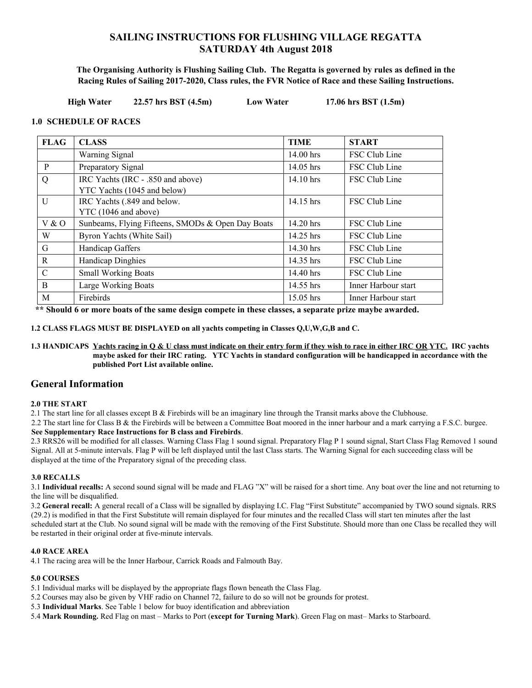## **SAILING INSTRUCTIONS FOR FLUSHING VILLAGE REGATTA SATURDAY 4th August 2018**

**The Organising Authority is Flushing Sailing Club. The Regatta is governed by rules as defined in the Racing Rules of Sailing 2017-2020, Class rules, the FVR Notice of Race and these Sailing Instructions.**

 **High Water 22.57 hrs BST (4.5m) Low Water 17.06 hrs BST (1.5m)**

#### **1.0 SCHEDULE OF RACES**

| <b>FLAG</b>   | <b>CLASS</b>                                      | <b>TIME</b>                  | <b>START</b>        |
|---------------|---------------------------------------------------|------------------------------|---------------------|
|               | Warning Signal                                    | 14.00 hrs                    | FSC Club Line       |
| P             | Preparatory Signal                                | FSC Club Line<br>$14.05$ hrs |                     |
| Q             | IRC Yachts (IRC - .850 and above)                 | 14.10 hrs                    | FSC Club Line       |
|               | YTC Yachts (1045 and below)                       |                              |                     |
| $\mathbf{U}$  | IRC Yachts (.849 and below.                       | 14.15 hrs                    | FSC Club Line       |
|               | YTC (1046 and above)                              |                              |                     |
| V & O         | Sunbeams, Flying Fifteens, SMODs & Open Day Boats | $14.20$ hrs                  | FSC Club Line       |
| W             | Byron Yachts (White Sail)                         | 14.25 hrs                    | FSC Club Line       |
| G             | Handicap Gaffers                                  | 14.30 hrs                    | FSC Club Line       |
| R             | <b>Handicap Dinghies</b>                          | 14.35 hrs                    | FSC Club Line       |
| $\mathcal{C}$ | <b>Small Working Boats</b>                        | 14.40 hrs                    | FSC Club Line       |
| <sub>B</sub>  | Large Working Boats                               | 14.55 hrs                    | Inner Harbour start |
| M             | Firebirds                                         | $15.05$ hrs                  | Inner Harbour start |

 **\*\* Should 6 or more boats of the same design compete in these classes, a separate prize maybe awarded.** 

**1.2 CLASS FLAGS MUST BE DISPLAYED on all yachts competing in Classes Q,U,W,G,B and C.** 

**1.3 HANDICAPS Yachts racing in Q & U class must indicate on their entry form if they wish to race in either IRC OR YTC. IRC yachts maybe asked for their IRC rating. YTC Yachts in standard configuration will be handicapped in accordance with the published Port List available online.**

### **General Information**

#### **2.0 THE START**

2.1 The start line for all classes except B  $&$  Firebirds will be an imaginary line through the Transit marks above the Clubhouse.

2.2 The start line for Class B & the Firebirds will be between a Committee Boat moored in the inner harbour and a mark carrying a F.S.C. burgee. **See Supplementary Race Instructions for B class and Firebirds**.

2.3 RRS26 will be modified for all classes. Warning Class Flag 1 sound signal. Preparatory Flag P 1 sound signal, Start Class Flag Removed 1 sound Signal. All at 5-minute intervals. Flag P will be left displayed until the last Class starts. The Warning Signal for each succeeding class will be displayed at the time of the Preparatory signal of the preceding class.

#### **3.0 RECALLS**

3.1 **Individual recalls:** A second sound signal will be made and FLAG "X" will be raised for a short time. Any boat over the line and not returning to the line will be disqualified.

3.2 **General recall:** A general recall of a Class will be signalled by displaying I.C. Flag "First Substitute" accompanied by TWO sound signals. RRS (29.2) is modified in that the First Substitute will remain displayed for four minutes and the recalled Class will start ten minutes after the last scheduled start at the Club. No sound signal will be made with the removing of the First Substitute. Should more than one Class be recalled they will be restarted in their original order at five-minute intervals.

#### **4.0 RACE AREA**

4.1 The racing area will be the Inner Harbour, Carrick Roads and Falmouth Bay.

#### **5.0 COURSES**

- 5.1 Individual marks will be displayed by the appropriate flags flown beneath the Class Flag.
- 5.2 Courses may also be given by VHF radio on Channel 72, failure to do so will not be grounds for protest.
- 5.3 **Individual Marks**. See Table 1 below for buoy identification and abbreviation

5.4 **Mark Rounding.** Red Flag on mast – Marks to Port (**except for Turning Mark**). Green Flag on mast– Marks to Starboard.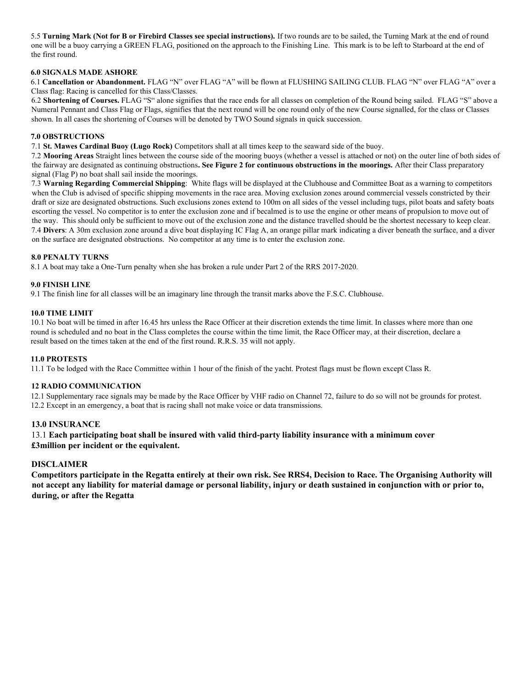5.5 **Turning Mark (Not for B or Firebird Classes see special instructions).** If two rounds are to be sailed, the Turning Mark at the end of round one will be a buoy carrying a GREEN FLAG, positioned on the approach to the Finishing Line. This mark is to be left to Starboard at the end of the first round.

#### **6.0 SIGNALS MADE ASHORE**

6.1 **Cancellation or Abandonment.** FLAG "N" over FLAG "A" will be flown at FLUSHING SAILING CLUB. FLAG "N" over FLAG "A" over a Class flag: Racing is cancelled for this Class/Classes.

6.2 **Shortening of Courses.** FLAG "S" alone signifies that the race ends for all classes on completion of the Round being sailed. FLAG "S" above a Numeral Pennant and Class Flag or Flags, signifies that the next round will be one round only of the new Course signalled, for the class or Classes shown. In all cases the shortening of Courses will be denoted by TWO Sound signals in quick succession.

#### **7.0 OBSTRUCTIONS**

7.1 **St. Mawes Cardinal Buoy (Lugo Rock)** Competitors shall at all times keep to the seaward side of the buoy.

7.2 **Mooring Areas** Straight lines between the course side of the mooring buoys (whether a vessel is attached or not) on the outer line of both sides of the fairway are designated as continuing obstructions**. See Figure 2 for continuous obstructions in the moorings.** After their Class preparatory signal (Flag P) no boat shall sail inside the moorings.

7.3 **Warning Regarding Commercial Shipping**: White flags will be displayed at the Clubhouse and Committee Boat as a warning to competitors when the Club is advised of specific shipping movements in the race area. Moving exclusion zones around commercial vessels constricted by their draft or size are designated obstructions. Such exclusions zones extend to 100m on all sides of the vessel including tugs, pilot boats and safety boats escorting the vessel. No competitor is to enter the exclusion zone and if becalmed is to use the engine or other means of propulsion to move out of the way. This should only be sufficient to move out of the exclusion zone and the distance travelled should be the shortest necessary to keep clear. 7.4 **Divers**: A 30m exclusion zone around a dive boat displaying IC Flag A, an orange pillar mark indicating a diver beneath the surface, and a diver on the surface are designated obstructions. No competitor at any time is to enter the exclusion zone.

#### **8.0 PENALTY TURNS**

8.1 A boat may take a One-Turn penalty when she has broken a rule under Part 2 of the RRS 2017-2020.

#### **9.0 FINISH LINE**

9.1 The finish line for all classes will be an imaginary line through the transit marks above the F.S.C. Clubhouse.

#### **10.0 TIME LIMIT**

10.1 No boat will be timed in after 16.45 hrs unless the Race Officer at their discretion extends the time limit. In classes where more than one round is scheduled and no boat in the Class completes the course within the time limit, the Race Officer may, at their discretion, declare a result based on the times taken at the end of the first round. R.R.S. 35 will not apply.

#### **11.0 PROTESTS**

11.1 To be lodged with the Race Committee within 1 hour of the finish of the yacht. Protest flags must be flown except Class R.

#### **12 RADIO COMMUNICATION**

12.1 Supplementary race signals may be made by the Race Officer by VHF radio on Channel 72, failure to do so will not be grounds for protest. 12.2 Except in an emergency, a boat that is racing shall not make voice or data transmissions.

#### **13.0 INSURANCE**

13.1 **Each participating boat shall be insured with valid third-party liability insurance with a minimum cover £3million per incident or the equivalent.** 

#### **DISCLAIMER**

**Competitors participate in the Regatta entirely at their own risk. See RRS4, Decision to Race. The Organising Authority will not accept any liability for material damage or personal liability, injury or death sustained in conjunction with or prior to, during, or after the Regatta**